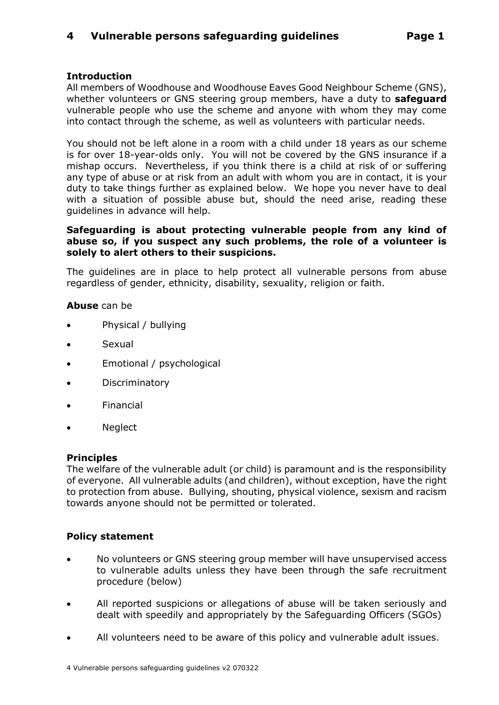# **Introduction**

All members of Woodhouse and Woodhouse Eaves Good Neighbour Scheme (GNS), whether volunteers or GNS steering group members, have a duty to **safeguard** vulnerable people who use the scheme and anyone with whom they may come into contact through the scheme, as well as volunteers with particular needs.

You should not be left alone in a room with a child under 18 years as our scheme is for over 18-year-olds only. You will not be covered by the GNS insurance if a mishap occurs. Nevertheless, if you think there is a child at risk of or suffering any type of abuse or at risk from an adult with whom you are in contact, it is your duty to take things further as explained below. We hope you never have to deal with a situation of possible abuse but, should the need arise, reading these guidelines in advance will help.

### **Safeguarding is about protecting vulnerable people from any kind of abuse so, if you suspect any such problems, the role of a volunteer is solely to alert others to their suspicions.**

The guidelines are in place to help protect all vulnerable persons from abuse regardless of gender, ethnicity, disability, sexuality, religion or faith.

# **Abuse** can be

- Physical / bullying
- Sexual
- Emotional / psychological
- Discriminatory
- Financial
- **Neglect**

### **Principles**

The welfare of the vulnerable adult (or child) is paramount and is the responsibility of everyone. All vulnerable adults (and children), without exception, have the right to protection from abuse. Bullying, shouting, physical violence, sexism and racism towards anyone should not be permitted or tolerated.

### **Policy statement**

- No volunteers or GNS steering group member will have unsupervised access to vulnerable adults unless they have been through the safe recruitment procedure (below)
- All reported suspicions or allegations of abuse will be taken seriously and dealt with speedily and appropriately by the Safeguarding Officers (SGOs)
- All volunteers need to be aware of this policy and vulnerable adult issues.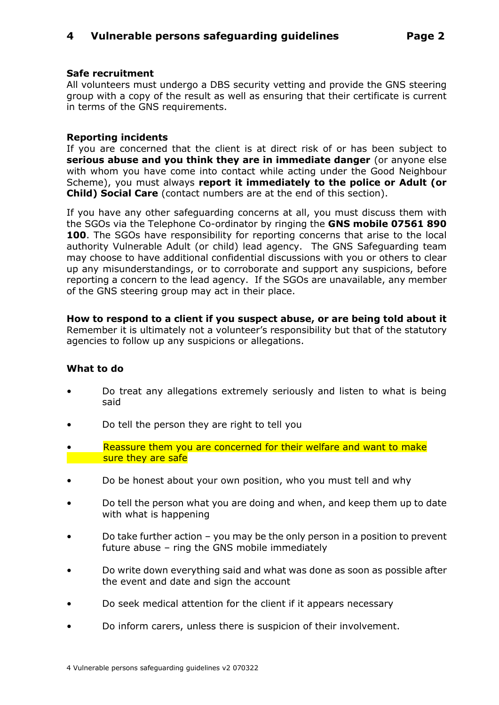## **Safe recruitment**

All volunteers must undergo a DBS security vetting and provide the GNS steering group with a copy of the result as well as ensuring that their certificate is current in terms of the GNS requirements.

# **Reporting incidents**

If you are concerned that the client is at direct risk of or has been subject to **serious abuse and you think they are in immediate danger** (or anyone else with whom you have come into contact while acting under the Good Neighbour Scheme), you must always **report it immediately to the police or Adult (or Child) Social Care** (contact numbers are at the end of this section).

If you have any other safeguarding concerns at all, you must discuss them with the SGOs via the Telephone Co-ordinator by ringing the **GNS mobile 07561 890 100**. The SGOs have responsibility for reporting concerns that arise to the local authority Vulnerable Adult (or child) lead agency. The GNS Safeguarding team may choose to have additional confidential discussions with you or others to clear up any misunderstandings, or to corroborate and support any suspicions, before reporting a concern to the lead agency. If the SGOs are unavailable, any member of the GNS steering group may act in their place.

**How to respond to a client if you suspect abuse, or are being told about it** Remember it is ultimately not a volunteer's responsibility but that of the statutory agencies to follow up any suspicions or allegations.

### **What to do**

- Do treat any allegations extremely seriously and listen to what is being said
- Do tell the person they are right to tell you
- Reassure them you are concerned for their welfare and want to make **Sure they are safe**
- Do be honest about your own position, who you must tell and why
- Do tell the person what you are doing and when, and keep them up to date with what is happening
- Do take further action you may be the only person in a position to prevent future abuse – ring the GNS mobile immediately
- Do write down everything said and what was done as soon as possible after the event and date and sign the account
- Do seek medical attention for the client if it appears necessary
- Do inform carers, unless there is suspicion of their involvement.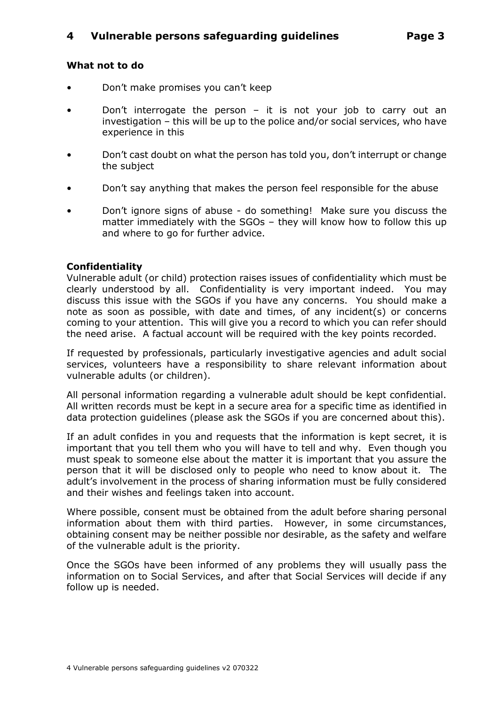# **What not to do**

- Don't make promises you can't keep
- Don't interrogate the person  $-$  it is not your job to carry out an investigation – this will be up to the police and/or social services, who have experience in this
- Don't cast doubt on what the person has told you, don't interrupt or change the subject
- Don't say anything that makes the person feel responsible for the abuse
- Don't ignore signs of abuse do something! Make sure you discuss the matter immediately with the SGOs – they will know how to follow this up and where to go for further advice.

### **Confidentiality**

Vulnerable adult (or child) protection raises issues of confidentiality which must be clearly understood by all. Confidentiality is very important indeed. You may discuss this issue with the SGOs if you have any concerns. You should make a note as soon as possible, with date and times, of any incident(s) or concerns coming to your attention. This will give you a record to which you can refer should the need arise. A factual account will be required with the key points recorded.

If requested by professionals, particularly investigative agencies and adult social services, volunteers have a responsibility to share relevant information about vulnerable adults (or children).

All personal information regarding a vulnerable adult should be kept confidential. All written records must be kept in a secure area for a specific time as identified in data protection guidelines (please ask the SGOs if you are concerned about this).

If an adult confides in you and requests that the information is kept secret, it is important that you tell them who you will have to tell and why. Even though you must speak to someone else about the matter it is important that you assure the person that it will be disclosed only to people who need to know about it. The adult's involvement in the process of sharing information must be fully considered and their wishes and feelings taken into account.

Where possible, consent must be obtained from the adult before sharing personal information about them with third parties. However, in some circumstances, obtaining consent may be neither possible nor desirable, as the safety and welfare of the vulnerable adult is the priority.

Once the SGOs have been informed of any problems they will usually pass the information on to Social Services, and after that Social Services will decide if any follow up is needed.